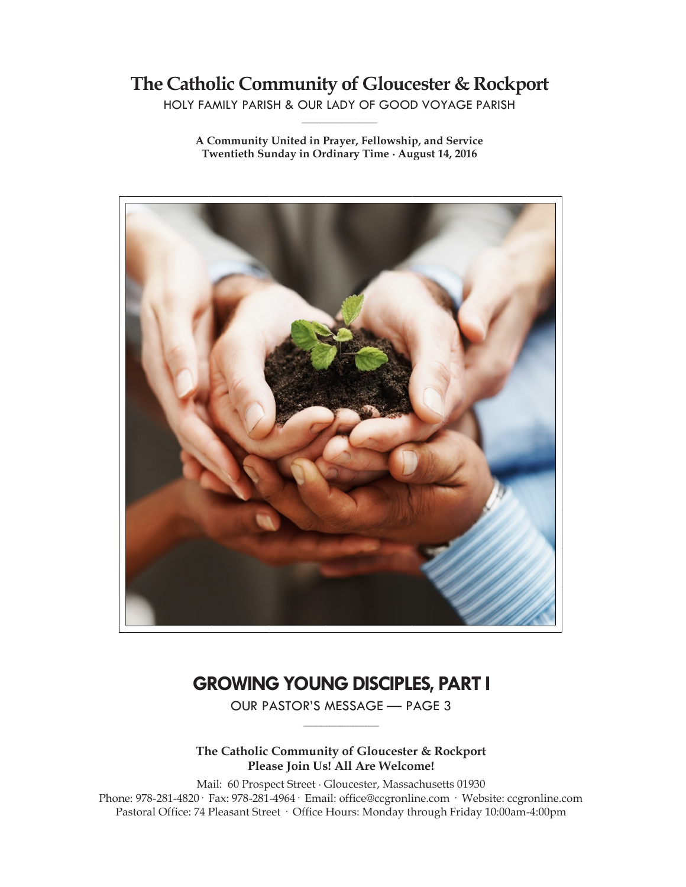# **The Catholic Community of Gloucester & Rockport**

HOLY FAMILY PARISH & OUR LADY OF GOOD VOYAGE PARISH **\_\_\_\_\_\_\_\_\_\_\_\_\_\_\_\_\_\_\_\_\_\_\_\_\_\_\_\_\_**

**A Community United in Prayer, Fellowship, and Service Twentieth Sunday in Ordinary Time ∙ August 14, 2016**



# **GROWING YOUNG DISCIPLES, PART I**

OUR PASTOR'S MESSAGE — PAGE 3 **\_\_\_\_\_\_\_\_\_\_\_\_\_\_\_\_\_\_\_\_\_\_\_\_\_\_\_\_\_**

**The Catholic Community of Gloucester & Rockport Please Join Us! All Are Welcome!**

Mail: 60 Prospect Street ∙ Gloucester, Massachusetts 01930 Phone: 978-281-4820· Fax: 978-281-4964· Email: office@ccgronline.com · Website: ccgronline.com Pastoral Office: 74 Pleasant Street · Office Hours: Monday through Friday 10:00am-4:00pm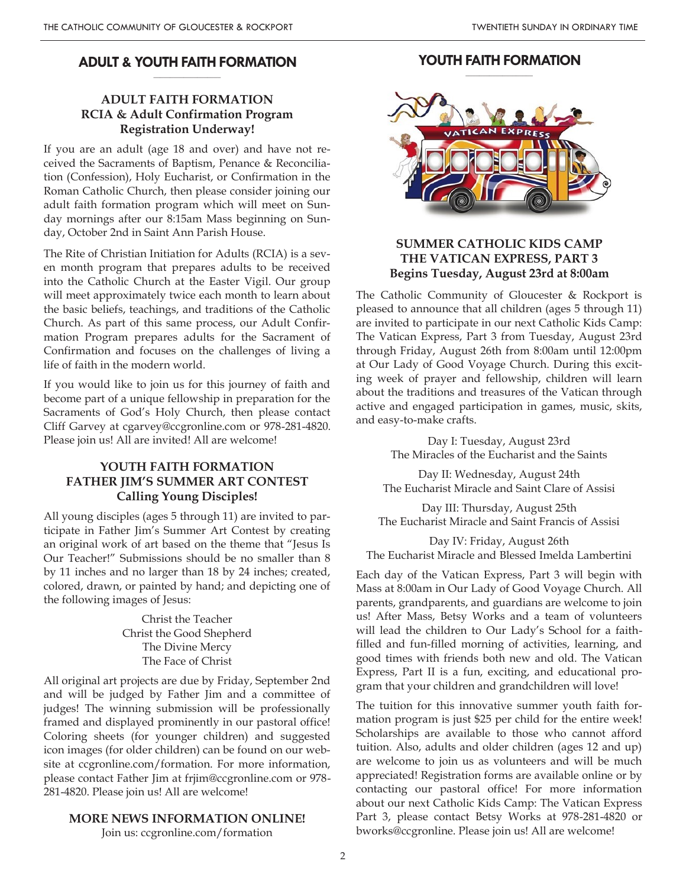#### **ADULT & YOUTH FAITH FORMATION \_\_\_\_\_\_\_\_\_\_\_\_\_\_\_\_\_\_\_\_**

# **ADULT FAITH FORMATION RCIA & Adult Confirmation Program Registration Underway!**

If you are an adult (age 18 and over) and have not received the Sacraments of Baptism, Penance & Reconciliation (Confession), Holy Eucharist, or Confirmation in the Roman Catholic Church, then please consider joining our adult faith formation program which will meet on Sunday mornings after our 8:15am Mass beginning on Sunday, October 2nd in Saint Ann Parish House.

The Rite of Christian Initiation for Adults (RCIA) is a seven month program that prepares adults to be received into the Catholic Church at the Easter Vigil. Our group will meet approximately twice each month to learn about the basic beliefs, teachings, and traditions of the Catholic Church. As part of this same process, our Adult Confirmation Program prepares adults for the Sacrament of Confirmation and focuses on the challenges of living a life of faith in the modern world.

If you would like to join us for this journey of faith and become part of a unique fellowship in preparation for the Sacraments of God's Holy Church, then please contact Cliff Garvey at cgarvey@ccgronline.com or 978-281-4820. Please join us! All are invited! All are welcome!

### **YOUTH FAITH FORMATION FATHER JIM'S SUMMER ART CONTEST Calling Young Disciples!**

All young disciples (ages 5 through 11) are invited to participate in Father Jim's Summer Art Contest by creating an original work of art based on the theme that "Jesus Is Our Teacher!" Submissions should be no smaller than 8 by 11 inches and no larger than 18 by 24 inches; created, colored, drawn, or painted by hand; and depicting one of the following images of Jesus:

> Christ the Teacher Christ the Good Shepherd The Divine Mercy The Face of Christ

All original art projects are due by Friday, September 2nd and will be judged by Father Jim and a committee of judges! The winning submission will be professionally framed and displayed prominently in our pastoral office! Coloring sheets (for younger children) and suggested icon images (for older children) can be found on our website at ccgronline.com/formation. For more information, please contact Father Jim at frjim@ccgronline.com or 978- 281-4820. Please join us! All are welcome!

#### **MORE NEWS INFORMATION ONLINE!**

Join us: ccgronline.com/formation

#### **YOUTH FAITH FORMATION \_\_\_\_\_\_\_\_\_\_\_\_\_\_\_\_\_\_\_\_**



### **SUMMER CATHOLIC KIDS CAMP THE VATICAN EXPRESS, PART 3 Begins Tuesday, August 23rd at 8:00am**

The Catholic Community of Gloucester & Rockport is pleased to announce that all children (ages 5 through 11) are invited to participate in our next Catholic Kids Camp: The Vatican Express, Part 3 from Tuesday, August 23rd through Friday, August 26th from 8:00am until 12:00pm at Our Lady of Good Voyage Church. During this exciting week of prayer and fellowship, children will learn about the traditions and treasures of the Vatican through active and engaged participation in games, music, skits, and easy-to-make crafts.

> Day I: Tuesday, August 23rd The Miracles of the Eucharist and the Saints

Day II: Wednesday, August 24th The Eucharist Miracle and Saint Clare of Assisi

Day III: Thursday, August 25th The Eucharist Miracle and Saint Francis of Assisi

Day IV: Friday, August 26th The Eucharist Miracle and Blessed Imelda Lambertini

Each day of the Vatican Express, Part 3 will begin with Mass at 8:00am in Our Lady of Good Voyage Church. All parents, grandparents, and guardians are welcome to join us! After Mass, Betsy Works and a team of volunteers will lead the children to Our Lady's School for a faithfilled and fun-filled morning of activities, learning, and good times with friends both new and old. The Vatican Express, Part II is a fun, exciting, and educational program that your children and grandchildren will love!

The tuition for this innovative summer youth faith formation program is just \$25 per child for the entire week! Scholarships are available to those who cannot afford tuition. Also, adults and older children (ages 12 and up) are welcome to join us as volunteers and will be much appreciated! Registration forms are available online or by contacting our pastoral office! For more information about our next Catholic Kids Camp: The Vatican Express Part 3, please contact Betsy Works at 978-281-4820 or bworks@ccgronline. Please join us! All are welcome!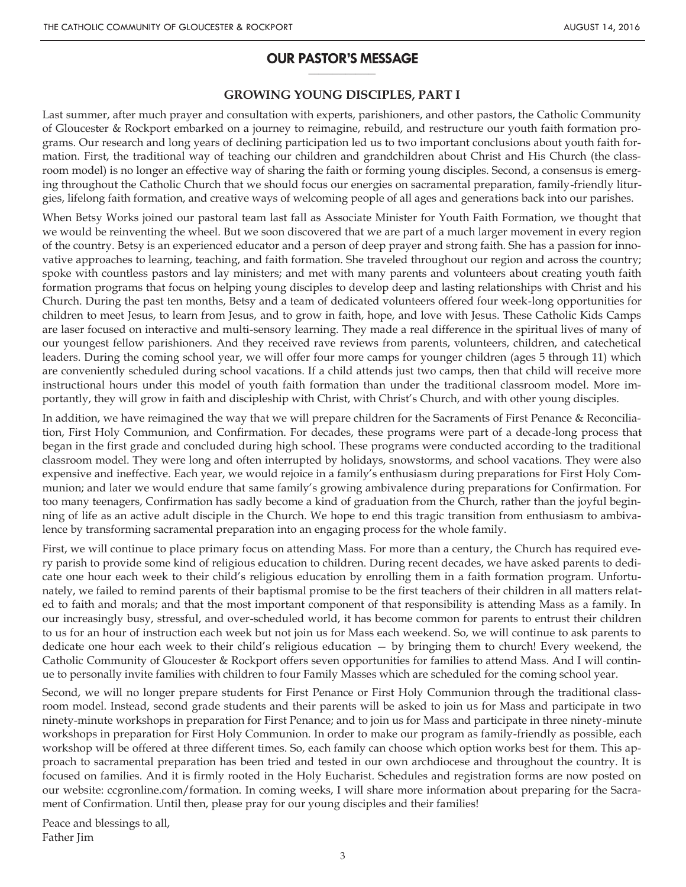#### **OUR PASTOR'S MESSAGE \_\_\_\_\_\_\_\_\_\_\_\_\_\_\_\_\_\_\_\_**

### **GROWING YOUNG DISCIPLES, PART I**

Last summer, after much prayer and consultation with experts, parishioners, and other pastors, the Catholic Community of Gloucester & Rockport embarked on a journey to reimagine, rebuild, and restructure our youth faith formation programs. Our research and long years of declining participation led us to two important conclusions about youth faith formation. First, the traditional way of teaching our children and grandchildren about Christ and His Church (the classroom model) is no longer an effective way of sharing the faith or forming young disciples. Second, a consensus is emerging throughout the Catholic Church that we should focus our energies on sacramental preparation, family-friendly liturgies, lifelong faith formation, and creative ways of welcoming people of all ages and generations back into our parishes.

When Betsy Works joined our pastoral team last fall as Associate Minister for Youth Faith Formation, we thought that we would be reinventing the wheel. But we soon discovered that we are part of a much larger movement in every region of the country. Betsy is an experienced educator and a person of deep prayer and strong faith. She has a passion for innovative approaches to learning, teaching, and faith formation. She traveled throughout our region and across the country; spoke with countless pastors and lay ministers; and met with many parents and volunteers about creating youth faith formation programs that focus on helping young disciples to develop deep and lasting relationships with Christ and his Church. During the past ten months, Betsy and a team of dedicated volunteers offered four week-long opportunities for children to meet Jesus, to learn from Jesus, and to grow in faith, hope, and love with Jesus. These Catholic Kids Camps are laser focused on interactive and multi-sensory learning. They made a real difference in the spiritual lives of many of our youngest fellow parishioners. And they received rave reviews from parents, volunteers, children, and catechetical leaders. During the coming school year, we will offer four more camps for younger children (ages 5 through 11) which are conveniently scheduled during school vacations. If a child attends just two camps, then that child will receive more instructional hours under this model of youth faith formation than under the traditional classroom model. More importantly, they will grow in faith and discipleship with Christ, with Christ's Church, and with other young disciples.

In addition, we have reimagined the way that we will prepare children for the Sacraments of First Penance & Reconciliation, First Holy Communion, and Confirmation. For decades, these programs were part of a decade-long process that began in the first grade and concluded during high school. These programs were conducted according to the traditional classroom model. They were long and often interrupted by holidays, snowstorms, and school vacations. They were also expensive and ineffective. Each year, we would rejoice in a family's enthusiasm during preparations for First Holy Communion; and later we would endure that same family's growing ambivalence during preparations for Confirmation. For too many teenagers, Confirmation has sadly become a kind of graduation from the Church, rather than the joyful beginning of life as an active adult disciple in the Church. We hope to end this tragic transition from enthusiasm to ambivalence by transforming sacramental preparation into an engaging process for the whole family.

First, we will continue to place primary focus on attending Mass. For more than a century, the Church has required every parish to provide some kind of religious education to children. During recent decades, we have asked parents to dedicate one hour each week to their child's religious education by enrolling them in a faith formation program. Unfortunately, we failed to remind parents of their baptismal promise to be the first teachers of their children in all matters related to faith and morals; and that the most important component of that responsibility is attending Mass as a family. In our increasingly busy, stressful, and over-scheduled world, it has become common for parents to entrust their children to us for an hour of instruction each week but not join us for Mass each weekend. So, we will continue to ask parents to dedicate one hour each week to their child's religious education — by bringing them to church! Every weekend, the Catholic Community of Gloucester & Rockport offers seven opportunities for families to attend Mass. And I will continue to personally invite families with children to four Family Masses which are scheduled for the coming school year.

Second, we will no longer prepare students for First Penance or First Holy Communion through the traditional classroom model. Instead, second grade students and their parents will be asked to join us for Mass and participate in two ninety-minute workshops in preparation for First Penance; and to join us for Mass and participate in three ninety-minute workshops in preparation for First Holy Communion. In order to make our program as family-friendly as possible, each workshop will be offered at three different times. So, each family can choose which option works best for them. This approach to sacramental preparation has been tried and tested in our own archdiocese and throughout the country. It is focused on families. And it is firmly rooted in the Holy Eucharist. Schedules and registration forms are now posted on our website: ccgronline.com/formation. In coming weeks, I will share more information about preparing for the Sacrament of Confirmation. Until then, please pray for our young disciples and their families!

Peace and blessings to all, Father Jim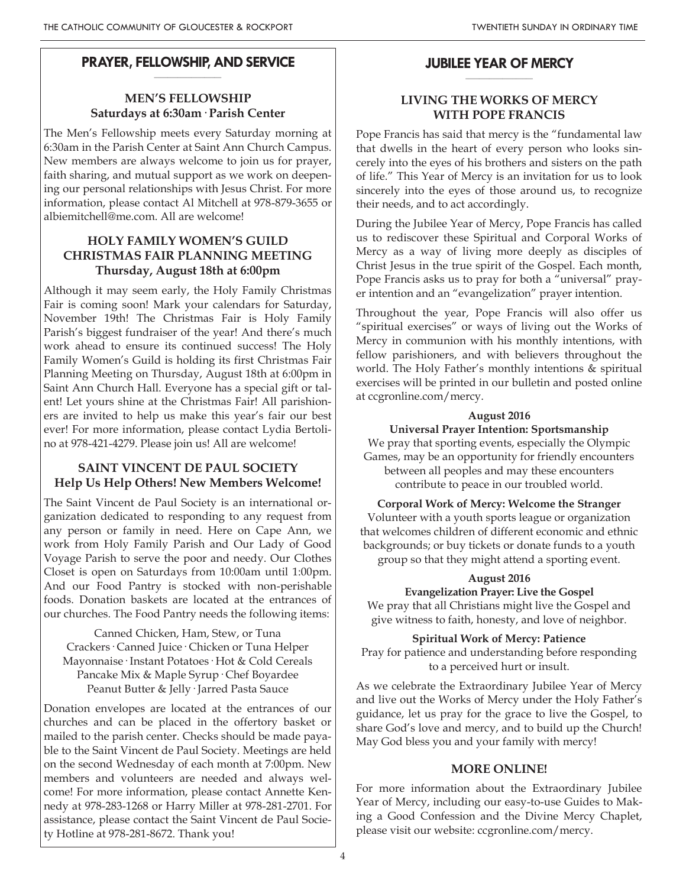#### **PRAYER, FELLOWSHIP, AND SERVICE \_\_\_\_\_\_\_\_\_\_\_\_\_\_\_\_\_\_\_\_**

# **MEN'S FELLOWSHIP Saturdays at 6:30am· Parish Center**

The Men's Fellowship meets every Saturday morning at 6:30am in the Parish Center at Saint Ann Church Campus. New members are always welcome to join us for prayer, faith sharing, and mutual support as we work on deepening our personal relationships with Jesus Christ. For more information, please contact Al Mitchell at 978-879-3655 or albiemitchell@me.com. All are welcome!

# **HOLY FAMILY WOMEN'S GUILD CHRISTMAS FAIR PLANNING MEETING Thursday, August 18th at 6:00pm**

Although it may seem early, the Holy Family Christmas Fair is coming soon! Mark your calendars for Saturday, November 19th! The Christmas Fair is Holy Family Parish's biggest fundraiser of the year! And there's much work ahead to ensure its continued success! The Holy Family Women's Guild is holding its first Christmas Fair Planning Meeting on Thursday, August 18th at 6:00pm in Saint Ann Church Hall. Everyone has a special gift or talent! Let yours shine at the Christmas Fair! All parishioners are invited to help us make this year's fair our best ever! For more information, please contact Lydia Bertolino at 978-421-4279. Please join us! All are welcome!

# **SAINT VINCENT DE PAUL SOCIETY Help Us Help Others! New Members Welcome!**

The Saint Vincent de Paul Society is an international organization dedicated to responding to any request from any person or family in need. Here on Cape Ann, we work from Holy Family Parish and Our Lady of Good Voyage Parish to serve the poor and needy. Our Clothes Closet is open on Saturdays from 10:00am until 1:00pm. And our Food Pantry is stocked with non-perishable foods. Donation baskets are located at the entrances of our churches. The Food Pantry needs the following items:

Canned Chicken, Ham, Stew, or Tuna Crackers· Canned Juice· Chicken or Tuna Helper Mayonnaise· Instant Potatoes· Hot & Cold Cereals Pancake Mix & Maple Syrup· Chef Boyardee Peanut Butter & Jelly· Jarred Pasta Sauce

Donation envelopes are located at the entrances of our churches and can be placed in the offertory basket or mailed to the parish center. Checks should be made payable to the Saint Vincent de Paul Society. Meetings are held on the second Wednesday of each month at 7:00pm. New members and volunteers are needed and always welcome! For more information, please contact Annette Kennedy at 978-283-1268 or Harry Miller at 978-281-2701. For assistance, please contact the Saint Vincent de Paul Society Hotline at 978-281-8672. Thank you!

#### **JUBILEE YEAR OF MERCY \_\_\_\_\_\_\_\_\_\_\_\_\_\_\_\_\_\_\_\_**

# **LIVING THE WORKS OF MERCY WITH POPE FRANCIS**

Pope Francis has said that mercy is the "fundamental law that dwells in the heart of every person who looks sincerely into the eyes of his brothers and sisters on the path of life." This Year of Mercy is an invitation for us to look sincerely into the eyes of those around us, to recognize their needs, and to act accordingly.

During the Jubilee Year of Mercy, Pope Francis has called us to rediscover these Spiritual and Corporal Works of Mercy as a way of living more deeply as disciples of Christ Jesus in the true spirit of the Gospel. Each month, Pope Francis asks us to pray for both a "universal" prayer intention and an "evangelization" prayer intention.

Throughout the year, Pope Francis will also offer us "spiritual exercises" or ways of living out the Works of Mercy in communion with his monthly intentions, with fellow parishioners, and with believers throughout the world. The Holy Father's monthly intentions & spiritual exercises will be printed in our bulletin and posted online at ccgronline.com/mercy.

### **August 2016**

# **Universal Prayer Intention: Sportsmanship**

We pray that sporting events, especially the Olympic Games, may be an opportunity for friendly encounters between all peoples and may these encounters contribute to peace in our troubled world.

**Corporal Work of Mercy: Welcome the Stranger** Volunteer with a youth sports league or organization that welcomes children of different economic and ethnic backgrounds; or buy tickets or donate funds to a youth group so that they might attend a sporting event.

### **August 2016**

**Evangelization Prayer: Live the Gospel** We pray that all Christians might live the Gospel and give witness to faith, honesty, and love of neighbor.

# **Spiritual Work of Mercy: Patience**

Pray for patience and understanding before responding to a perceived hurt or insult.

As we celebrate the Extraordinary Jubilee Year of Mercy and live out the Works of Mercy under the Holy Father's guidance, let us pray for the grace to live the Gospel, to share God's love and mercy, and to build up the Church! May God bless you and your family with mercy!

# **MORE ONLINE!**

For more information about the Extraordinary Jubilee Year of Mercy, including our easy-to-use Guides to Making a Good Confession and the Divine Mercy Chaplet, please visit our website: ccgronline.com/mercy.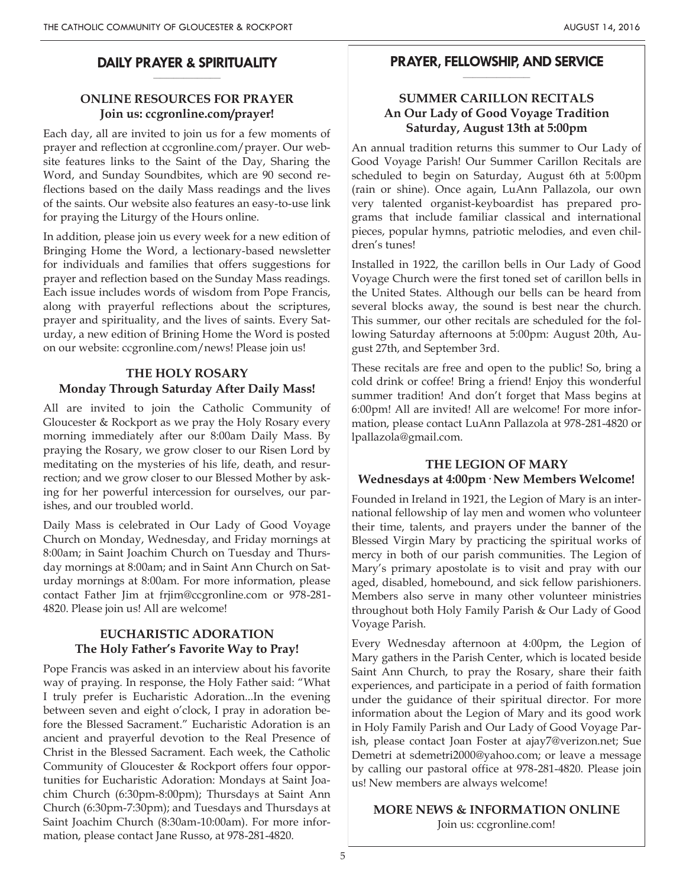#### **DAILY PRAYER & SPIRITUALITY \_\_\_\_\_\_\_\_\_\_\_\_\_\_\_\_\_\_\_\_**

# **ONLINE RESOURCES FOR PRAYER Join us: ccgronline.com/prayer!**

Each day, all are invited to join us for a few moments of prayer and reflection at ccgronline.com/prayer. Our website features links to the Saint of the Day, Sharing the Word, and Sunday Soundbites, which are 90 second reflections based on the daily Mass readings and the lives of the saints. Our website also features an easy-to-use link for praying the Liturgy of the Hours online.

In addition, please join us every week for a new edition of Bringing Home the Word, a lectionary-based newsletter for individuals and families that offers suggestions for prayer and reflection based on the Sunday Mass readings. Each issue includes words of wisdom from Pope Francis, along with prayerful reflections about the scriptures, prayer and spirituality, and the lives of saints. Every Saturday, a new edition of Brining Home the Word is posted on our website: ccgronline.com/news! Please join us!

# **THE HOLY ROSARY Monday Through Saturday After Daily Mass!**

All are invited to join the Catholic Community of Gloucester & Rockport as we pray the Holy Rosary every morning immediately after our 8:00am Daily Mass. By praying the Rosary, we grow closer to our Risen Lord by meditating on the mysteries of his life, death, and resurrection; and we grow closer to our Blessed Mother by asking for her powerful intercession for ourselves, our parishes, and our troubled world.

Daily Mass is celebrated in Our Lady of Good Voyage Church on Monday, Wednesday, and Friday mornings at 8:00am; in Saint Joachim Church on Tuesday and Thursday mornings at 8:00am; and in Saint Ann Church on Saturday mornings at 8:00am. For more information, please contact Father Jim at frjim@ccgronline.com or 978-281- 4820. Please join us! All are welcome!

# **EUCHARISTIC ADORATION The Holy Father's Favorite Way to Pray!**

Pope Francis was asked in an interview about his favorite way of praying. In response, the Holy Father said: "What I truly prefer is Eucharistic Adoration...In the evening between seven and eight o'clock, I pray in adoration before the Blessed Sacrament." Eucharistic Adoration is an ancient and prayerful devotion to the Real Presence of Christ in the Blessed Sacrament. Each week, the Catholic Community of Gloucester & Rockport offers four opportunities for Eucharistic Adoration: Mondays at Saint Joachim Church (6:30pm-8:00pm); Thursdays at Saint Ann Church (6:30pm-7:30pm); and Tuesdays and Thursdays at Saint Joachim Church (8:30am-10:00am). For more information, please contact Jane Russo, at 978-281-4820.

#### **PRAYER, FELLOWSHIP, AND SERVICE \_\_\_\_\_\_\_\_\_\_\_\_\_\_\_\_\_\_\_\_**

# **SUMMER CARILLON RECITALS An Our Lady of Good Voyage Tradition Saturday, August 13th at 5:00pm**

An annual tradition returns this summer to Our Lady of Good Voyage Parish! Our Summer Carillon Recitals are scheduled to begin on Saturday, August 6th at 5:00pm (rain or shine). Once again, LuAnn Pallazola, our own very talented organist-keyboardist has prepared programs that include familiar classical and international pieces, popular hymns, patriotic melodies, and even children's tunes!

Installed in 1922, the carillon bells in Our Lady of Good Voyage Church were the first toned set of carillon bells in the United States. Although our bells can be heard from several blocks away, the sound is best near the church. This summer, our other recitals are scheduled for the following Saturday afternoons at 5:00pm: August 20th, August 27th, and September 3rd.

These recitals are free and open to the public! So, bring a cold drink or coffee! Bring a friend! Enjoy this wonderful summer tradition! And don't forget that Mass begins at 6:00pm! All are invited! All are welcome! For more information, please contact LuAnn Pallazola at 978-281-4820 or lpallazola@gmail.com.

#### **THE LEGION OF MARY Wednesdays at 4:00pm· New Members Welcome!**

Founded in Ireland in 1921, the Legion of Mary is an international fellowship of lay men and women who volunteer their time, talents, and prayers under the banner of the Blessed Virgin Mary by practicing the spiritual works of mercy in both of our parish communities. The Legion of Mary's primary apostolate is to visit and pray with our aged, disabled, homebound, and sick fellow parishioners. Members also serve in many other volunteer ministries throughout both Holy Family Parish & Our Lady of Good Voyage Parish.

Every Wednesday afternoon at 4:00pm, the Legion of Mary gathers in the Parish Center, which is located beside Saint Ann Church, to pray the Rosary, share their faith experiences, and participate in a period of faith formation under the guidance of their spiritual director. For more information about the Legion of Mary and its good work in Holy Family Parish and Our Lady of Good Voyage Parish, please contact Joan Foster at ajay7@verizon.net; Sue Demetri at sdemetri2000@yahoo.com; or leave a message by calling our pastoral office at 978-281-4820. Please join us! New members are always welcome!

#### **MORE NEWS & INFORMATION ONLINE** Join us: ccgronline.com!